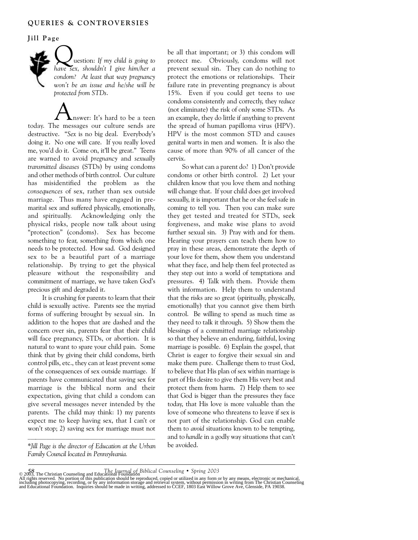## **Jill Page**

Question: *If my child is going to have sex, shouldn't I give him/her a condom? At least that way pregnancy won't be an issue and he/she will be protected from STDs*.

nswer: It's hard to be a teen today. The messages our culture sends are destructive. "*Sex* is no big deal. Everybody's doing it. No one will care. If you really loved me, you'd do it. Come on, it'll be great." Teens are warned to avoid *pregnancy* and *sexually transmitted diseases* (STDs) by using condoms and other methods of birth control. Our culture has misidentified the problem as the *consequences* of sex, rather than sex outside marriage. Thus many have engaged in premarital sex and suffered physically, emotionally, and spiritually. Acknowledging only the physical risks, people now talk about using "protection" (condoms). Sex has become something to fear, something from which one needs to be protected. How sad. God designed sex to be a beautiful part of a marriage relationship. By trying to get the physical pleasure without the responsibility and commitment of marriage, we have taken God's precious gift and degraded it.

It is crushing for parents to learn that their child is sexually active. Parents see the myriad forms of suffering brought by sexual sin. In addition to the hopes that are dashed and the concern over sin, parents fear that their child will face pregnancy, STDs, or abortion. It is natural to want to spare your child pain. Some think that by giving their child condoms, birth control pills, etc., they can at least prevent some of the consequences of sex outside marriage. If parents have communicated that saving sex for marriage is the biblical norm and their expectation, giving that child a condom can give several messages never intended by the parents. The child may think: 1) my parents expect me to keep having sex, that I can't or won't stop; 2) saving sex for marriage must not

\**Jill Page is the director of Education at the Urban Family Council located in Pennsylvania.*

be all that important; or 3) this condom will protect me. Obviously, condoms will not prevent sexual sin. They can do nothing to protect the emotions or relationships. Their failure rate in preventing pregnancy is about 15%. Even if you could get teens to use condoms consistently and correctly, they *reduce* (not eliminate) the risk of only some STDs. As an example, they do little if anything to prevent the spread of human papilloma virus (HPV). HPV is the most common STD and causes genital warts in men and women. It is also the cause of more than 90% of all cancer of the cervix.

So what can a parent do? 1) Don't provide condoms or other birth control. 2) Let your children know that you love them and nothing will change that. If your child does get involved sexually, it is important that he or she feel safe in coming to tell you. Then you can make sure they get tested and treated for STDs, seek forgiveness, and make wise plans to avoid further sexual sin. 3) Pray with and for them. Hearing your prayers can teach them how to pray in these areas, demonstrate the depth of your love for them, show them you understand what they face, and help them feel protected as they step out into a world of temptations and pressures. 4) Talk with them. Provide them with information. Help them to understand that the risks are so great (spiritually, physically, emotionally) that you cannot give them birth control. Be willing to spend as much time as they need to talk it through. 5) Show them the blessings of a committed marriage relationship so that they believe an enduring, faithful, loving marriage is possible. 6) Explain the gospel, that Christ is eager to forgive their sexual sin and make them pure. Challenge them to trust God, to believe that His plan of sex within marriage is part of His desire to give them His very best and protect them from harm. 7) Help them to see that God is bigger than the pressures they face today, that His love is more valuable than the love of someone who threatens to leave if sex is not part of the relationship. God can enable them to *avoid* situations known to be tempting, and to *handle* in a godly way situations that can't be avoided.

58<br>© 2003, The Christian Counseling and Educational Loundarion Biblical Counseling • Spring 2003<br>All rights reserved. No portion of this publication should be reproduced, copied or utilized in any form or by any means, ele